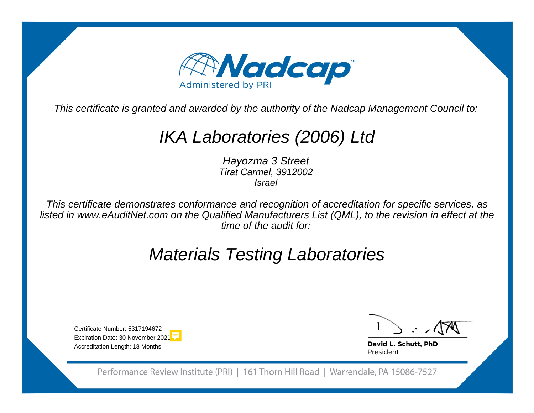

This certificate is granted and awarded by the authority of the Nadcap Management Council to:

## IKA Laboratories (2006) Ltd

Hayozma 3 Street Tirat Carmel, 3912002Israel

This certificate demonstrates conformance and recognition of accreditation for specific services, as listed in www.eAuditNet.com on the Qualified Manufacturers List (QML), to the revision in effect at thetime of the audit for:

## Materials Testing Laboratories

Certificate Number: 53171946 Expiration Date: 30 November zu21 Accreditation Length: 18 Months

David L. Schutt, PhD President

Performance Review Institute (PRI) | 161 Thorn Hill Road | Warrendale, PA 15086-7527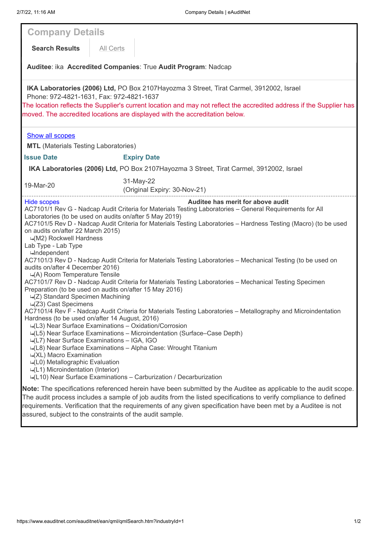| <b>Company Details</b>                                                                                                                                                                                                                                                                                                                                                                                                                                                                                                                                                                                                                                                                                                                                                                                                                                                                                                                                                                                                                                                                                                                                                                                                                                                                                                                                                                                                                                                                             |           |                                           |
|----------------------------------------------------------------------------------------------------------------------------------------------------------------------------------------------------------------------------------------------------------------------------------------------------------------------------------------------------------------------------------------------------------------------------------------------------------------------------------------------------------------------------------------------------------------------------------------------------------------------------------------------------------------------------------------------------------------------------------------------------------------------------------------------------------------------------------------------------------------------------------------------------------------------------------------------------------------------------------------------------------------------------------------------------------------------------------------------------------------------------------------------------------------------------------------------------------------------------------------------------------------------------------------------------------------------------------------------------------------------------------------------------------------------------------------------------------------------------------------------------|-----------|-------------------------------------------|
| <b>Search Results</b>                                                                                                                                                                                                                                                                                                                                                                                                                                                                                                                                                                                                                                                                                                                                                                                                                                                                                                                                                                                                                                                                                                                                                                                                                                                                                                                                                                                                                                                                              | All Certs |                                           |
|                                                                                                                                                                                                                                                                                                                                                                                                                                                                                                                                                                                                                                                                                                                                                                                                                                                                                                                                                                                                                                                                                                                                                                                                                                                                                                                                                                                                                                                                                                    |           |                                           |
| Auditee: ika Accredited Companies: True Audit Program: Nadcap                                                                                                                                                                                                                                                                                                                                                                                                                                                                                                                                                                                                                                                                                                                                                                                                                                                                                                                                                                                                                                                                                                                                                                                                                                                                                                                                                                                                                                      |           |                                           |
| IKA Laboratories (2006) Ltd, PO Box 2107Hayozma 3 Street, Tirat Carmel, 3912002, Israel<br>Phone: 972-4821-1631, Fax: 972-4821-1637<br>The location reflects the Supplier's current location and may not reflect the accredited address if the Supplier has<br>moved. The accredited locations are displayed with the accreditation below.                                                                                                                                                                                                                                                                                                                                                                                                                                                                                                                                                                                                                                                                                                                                                                                                                                                                                                                                                                                                                                                                                                                                                         |           |                                           |
| <b>Show all scopes</b>                                                                                                                                                                                                                                                                                                                                                                                                                                                                                                                                                                                                                                                                                                                                                                                                                                                                                                                                                                                                                                                                                                                                                                                                                                                                                                                                                                                                                                                                             |           |                                           |
| <b>MTL</b> (Materials Testing Laboratories)                                                                                                                                                                                                                                                                                                                                                                                                                                                                                                                                                                                                                                                                                                                                                                                                                                                                                                                                                                                                                                                                                                                                                                                                                                                                                                                                                                                                                                                        |           |                                           |
| <b>Issue Date</b>                                                                                                                                                                                                                                                                                                                                                                                                                                                                                                                                                                                                                                                                                                                                                                                                                                                                                                                                                                                                                                                                                                                                                                                                                                                                                                                                                                                                                                                                                  |           | <b>Expiry Date</b>                        |
| IKA Laboratories (2006) Ltd, PO Box 2107Hayozma 3 Street, Tirat Carmel, 3912002, Israel                                                                                                                                                                                                                                                                                                                                                                                                                                                                                                                                                                                                                                                                                                                                                                                                                                                                                                                                                                                                                                                                                                                                                                                                                                                                                                                                                                                                            |           |                                           |
| 19-Mar-20                                                                                                                                                                                                                                                                                                                                                                                                                                                                                                                                                                                                                                                                                                                                                                                                                                                                                                                                                                                                                                                                                                                                                                                                                                                                                                                                                                                                                                                                                          |           | 31-May-22<br>(Original Expiry: 30-Nov-21) |
| Auditee has merit for above audit<br>Hide scopes<br>AC7101/1 Rev G - Nadcap Audit Criteria for Materials Testing Laboratories - General Requirements for All<br>Laboratories (to be used on audits on/after 5 May 2019)<br>AC7101/5 Rev D - Nadcap Audit Criteria for Materials Testing Laboratories - Hardness Testing (Macro) (to be used<br>on audits on/after 22 March 2015)<br>→(M2) Rockwell Hardness<br>Lab Type - Lab Type<br>⊶Independent<br>AC7101/3 Rev D - Nadcap Audit Criteria for Materials Testing Laboratories – Mechanical Testing (to be used on<br>audits on/after 4 December 2016)<br>-(A) Room Temperature Tensile<br>AC7101/7 Rev D - Nadcap Audit Criteria for Materials Testing Laboratories - Mechanical Testing Specimen<br>Preparation (to be used on audits on/after 15 May 2016)<br>→(Z) Standard Specimen Machining<br>$\Box$ (Z3) Cast Specimens<br>AC7101/4 Rev F - Nadcap Audit Criteria for Materials Testing Laboratories - Metallography and Microindentation<br>Hardness (to be used on/after 14 August, 2016)<br>: (L3) Near Surface Examinations - Oxidation/Corrosion<br>-- (L5) Near Surface Examinations - Microindentation (Surface-Case Depth)<br>-(L7) Near Surface Examinations - IGA, IGO<br>-4(L8) Near Surface Examinations - Alpha Case: Wrought Titanium<br>→(XL) Macro Examination<br>→(L0) Metallographic Evaluation<br>$\rightarrow$ (L1) Microindentation (Interior)<br>4(L10) Near Surface Examinations - Carburization / Decarburization |           |                                           |
| Note: The specifications referenced herein have been submitted by the Auditee as applicable to the audit scope.<br>The audit process includes a sample of job audits from the listed specifications to verify compliance to defined<br>requirements. Verification that the requirements of any given specification have been met by a Auditee is not<br>assured, subject to the constraints of the audit sample.                                                                                                                                                                                                                                                                                                                                                                                                                                                                                                                                                                                                                                                                                                                                                                                                                                                                                                                                                                                                                                                                                   |           |                                           |